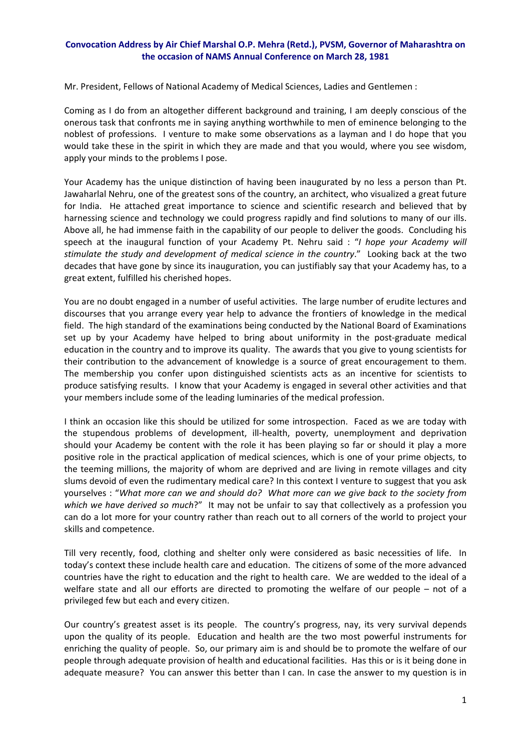## **Convocation Address by Air Chief Marshal O.P. Mehra (Retd.), PVSM, Governor of Maharashtra on the occasion of NAMS Annual Conference on March 28, 1981**

Mr. President, Fellows of National Academy of Medical Sciences, Ladies and Gentlemen :

Coming as I do from an altogether different background and training, I am deeply conscious of the onerous task that confronts me in saying anything worthwhile to men of eminence belonging to the noblest of professions. I venture to make some observations as a layman and I do hope that you would take these in the spirit in which they are made and that you would, where you see wisdom, apply your minds to the problems I pose.

Your Academy has the unique distinction of having been inaugurated by no less a person than Pt. Jawaharlal Nehru, one of the greatest sons of the country, an architect, who visualized a great future for India. He attached great importance to science and scientific research and believed that by harnessing science and technology we could progress rapidly and find solutions to many of our ills. Above all, he had immense faith in the capability of our people to deliver the goods. Concluding his speech at the inaugural function of your Academy Pt. Nehru said : "*I hope your Academy will stimulate the study and development of medical science in the country*." Looking back at the two decades that have gone by since its inauguration, you can justifiably say that your Academy has, to a great extent, fulfilled his cherished hopes.

You are no doubt engaged in a number of useful activities. The large number of erudite lectures and discourses that you arrange every year help to advance the frontiers of knowledge in the medical field. The high standard of the examinations being conducted by the National Board of Examinations set up by your Academy have helped to bring about uniformity in the post-graduate medical education in the country and to improve its quality. The awards that you give to young scientists for their contribution to the advancement of knowledge is a source of great encouragement to them. The membership you confer upon distinguished scientists acts as an incentive for scientists to produce satisfying results. I know that your Academy is engaged in several other activities and that your members include some of the leading luminaries of the medical profession.

I think an occasion like this should be utilized for some introspection. Faced as we are today with the stupendous problems of development, ill-health, poverty, unemployment and deprivation should your Academy be content with the role it has been playing so far or should it play a more positive role in the practical application of medical sciences, which is one of your prime objects, to the teeming millions, the majority of whom are deprived and are living in remote villages and city slums devoid of even the rudimentary medical care? In this context I venture to suggest that you ask yourselves : "*What more can we and should do? What more can we give back to the society from which we have derived so much*?" It may not be unfair to say that collectively as a profession you can do a lot more for your country rather than reach out to all corners of the world to project your skills and competence.

Till very recently, food, clothing and shelter only were considered as basic necessities of life. In today's context these include health care and education. The citizens of some of the more advanced countries have the right to education and the right to health care. We are wedded to the ideal of a welfare state and all our efforts are directed to promoting the welfare of our people – not of a privileged few but each and every citizen.

Our country's greatest asset is its people. The country's progress, nay, its very survival depends upon the quality of its people. Education and health are the two most powerful instruments for enriching the quality of people. So, our primary aim is and should be to promote the welfare of our people through adequate provision of health and educational facilities. Has this or is it being done in adequate measure? You can answer this better than I can. In case the answer to my question is in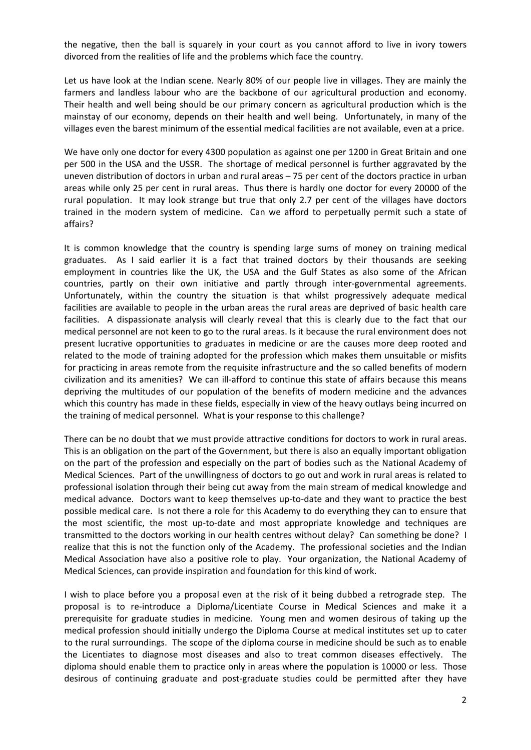the negative, then the ball is squarely in your court as you cannot afford to live in ivory towers divorced from the realities of life and the problems which face the country.

Let us have look at the Indian scene. Nearly 80% of our people live in villages. They are mainly the farmers and landless labour who are the backbone of our agricultural production and economy. Their health and well being should be our primary concern as agricultural production which is the mainstay of our economy, depends on their health and well being. Unfortunately, in many of the villages even the barest minimum of the essential medical facilities are not available, even at a price.

We have only one doctor for every 4300 population as against one per 1200 in Great Britain and one per 500 in the USA and the USSR. The shortage of medical personnel is further aggravated by the uneven distribution of doctors in urban and rural areas – 75 per cent of the doctors practice in urban areas while only 25 per cent in rural areas. Thus there is hardly one doctor for every 20000 of the rural population. It may look strange but true that only 2.7 per cent of the villages have doctors trained in the modern system of medicine. Can we afford to perpetually permit such a state of affairs?

It is common knowledge that the country is spending large sums of money on training medical graduates. As I said earlier it is a fact that trained doctors by their thousands are seeking employment in countries like the UK, the USA and the Gulf States as also some of the African countries, partly on their own initiative and partly through inter‐governmental agreements. Unfortunately, within the country the situation is that whilst progressively adequate medical facilities are available to people in the urban areas the rural areas are deprived of basic health care facilities. A dispassionate analysis will clearly reveal that this is clearly due to the fact that our medical personnel are not keen to go to the rural areas. Is it because the rural environment does not present lucrative opportunities to graduates in medicine or are the causes more deep rooted and related to the mode of training adopted for the profession which makes them unsuitable or misfits for practicing in areas remote from the requisite infrastructure and the so called benefits of modern civilization and its amenities? We can ill‐afford to continue this state of affairs because this means depriving the multitudes of our population of the benefits of modern medicine and the advances which this country has made in these fields, especially in view of the heavy outlays being incurred on the training of medical personnel. What is your response to this challenge?

There can be no doubt that we must provide attractive conditions for doctors to work in rural areas. This is an obligation on the part of the Government, but there is also an equally important obligation on the part of the profession and especially on the part of bodies such as the National Academy of Medical Sciences. Part of the unwillingness of doctors to go out and work in rural areas is related to professional isolation through their being cut away from the main stream of medical knowledge and medical advance. Doctors want to keep themselves up‐to‐date and they want to practice the best possible medical care. Is not there a role for this Academy to do everything they can to ensure that the most scientific, the most up‐to‐date and most appropriate knowledge and techniques are transmitted to the doctors working in our health centres without delay? Can something be done? I realize that this is not the function only of the Academy. The professional societies and the Indian Medical Association have also a positive role to play. Your organization, the National Academy of Medical Sciences, can provide inspiration and foundation for this kind of work.

I wish to place before you a proposal even at the risk of it being dubbed a retrograde step. The proposal is to re‐introduce a Diploma/Licentiate Course in Medical Sciences and make it a prerequisite for graduate studies in medicine. Young men and women desirous of taking up the medical profession should initially undergo the Diploma Course at medical institutes set up to cater to the rural surroundings. The scope of the diploma course in medicine should be such as to enable the Licentiates to diagnose most diseases and also to treat common diseases effectively. The diploma should enable them to practice only in areas where the population is 10000 or less. Those desirous of continuing graduate and post-graduate studies could be permitted after they have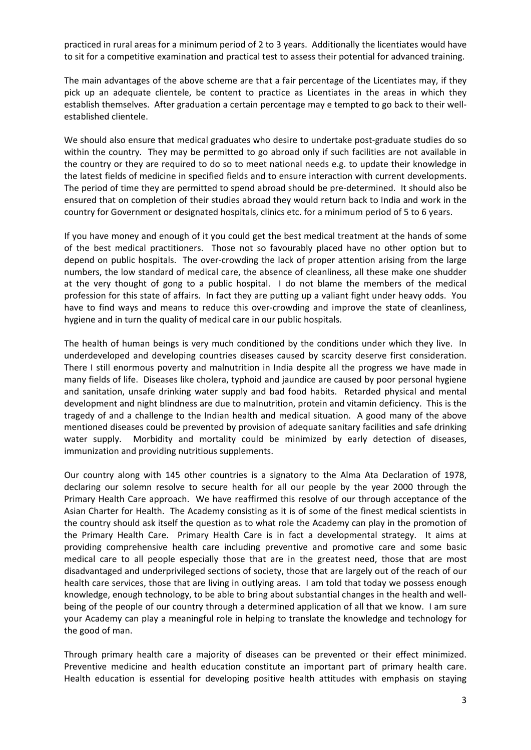practiced in rural areas for a minimum period of 2 to 3 years. Additionally the licentiates would have to sit for a competitive examination and practical test to assess their potential for advanced training.

The main advantages of the above scheme are that a fair percentage of the Licentiates may, if they pick up an adequate clientele, be content to practice as Licentiates in the areas in which they establish themselves. After graduation a certain percentage may e tempted to go back to their wellestablished clientele.

We should also ensure that medical graduates who desire to undertake post-graduate studies do so within the country. They may be permitted to go abroad only if such facilities are not available in the country or they are required to do so to meet national needs e.g. to update their knowledge in the latest fields of medicine in specified fields and to ensure interaction with current developments. The period of time they are permitted to spend abroad should be pre‐determined. It should also be ensured that on completion of their studies abroad they would return back to India and work in the country for Government or designated hospitals, clinics etc. for a minimum period of 5 to 6 years.

If you have money and enough of it you could get the best medical treatment at the hands of some of the best medical practitioners. Those not so favourably placed have no other option but to depend on public hospitals. The over-crowding the lack of proper attention arising from the large numbers, the low standard of medical care, the absence of cleanliness, all these make one shudder at the very thought of gong to a public hospital. I do not blame the members of the medical profession for this state of affairs. In fact they are putting up a valiant fight under heavy odds. You have to find ways and means to reduce this over-crowding and improve the state of cleanliness, hygiene and in turn the quality of medical care in our public hospitals.

The health of human beings is very much conditioned by the conditions under which they live. In underdeveloped and developing countries diseases caused by scarcity deserve first consideration. There I still enormous poverty and malnutrition in India despite all the progress we have made in many fields of life. Diseases like cholera, typhoid and jaundice are caused by poor personal hygiene and sanitation, unsafe drinking water supply and bad food habits. Retarded physical and mental development and night blindness are due to malnutrition, protein and vitamin deficiency. This is the tragedy of and a challenge to the Indian health and medical situation. A good many of the above mentioned diseases could be prevented by provision of adequate sanitary facilities and safe drinking water supply. Morbidity and mortality could be minimized by early detection of diseases, immunization and providing nutritious supplements.

Our country along with 145 other countries is a signatory to the Alma Ata Declaration of 1978, declaring our solemn resolve to secure health for all our people by the year 2000 through the Primary Health Care approach. We have reaffirmed this resolve of our through acceptance of the Asian Charter for Health. The Academy consisting as it is of some of the finest medical scientists in the country should ask itself the question as to what role the Academy can play in the promotion of the Primary Health Care. Primary Health Care is in fact a developmental strategy. It aims at providing comprehensive health care including preventive and promotive care and some basic medical care to all people especially those that are in the greatest need, those that are most disadvantaged and underprivileged sections of society, those that are largely out of the reach of our health care services, those that are living in outlying areas. I am told that today we possess enough knowledge, enough technology, to be able to bring about substantial changes in the health and wellbeing of the people of our country through a determined application of all that we know. I am sure your Academy can play a meaningful role in helping to translate the knowledge and technology for the good of man.

Through primary health care a majority of diseases can be prevented or their effect minimized. Preventive medicine and health education constitute an important part of primary health care. Health education is essential for developing positive health attitudes with emphasis on staying